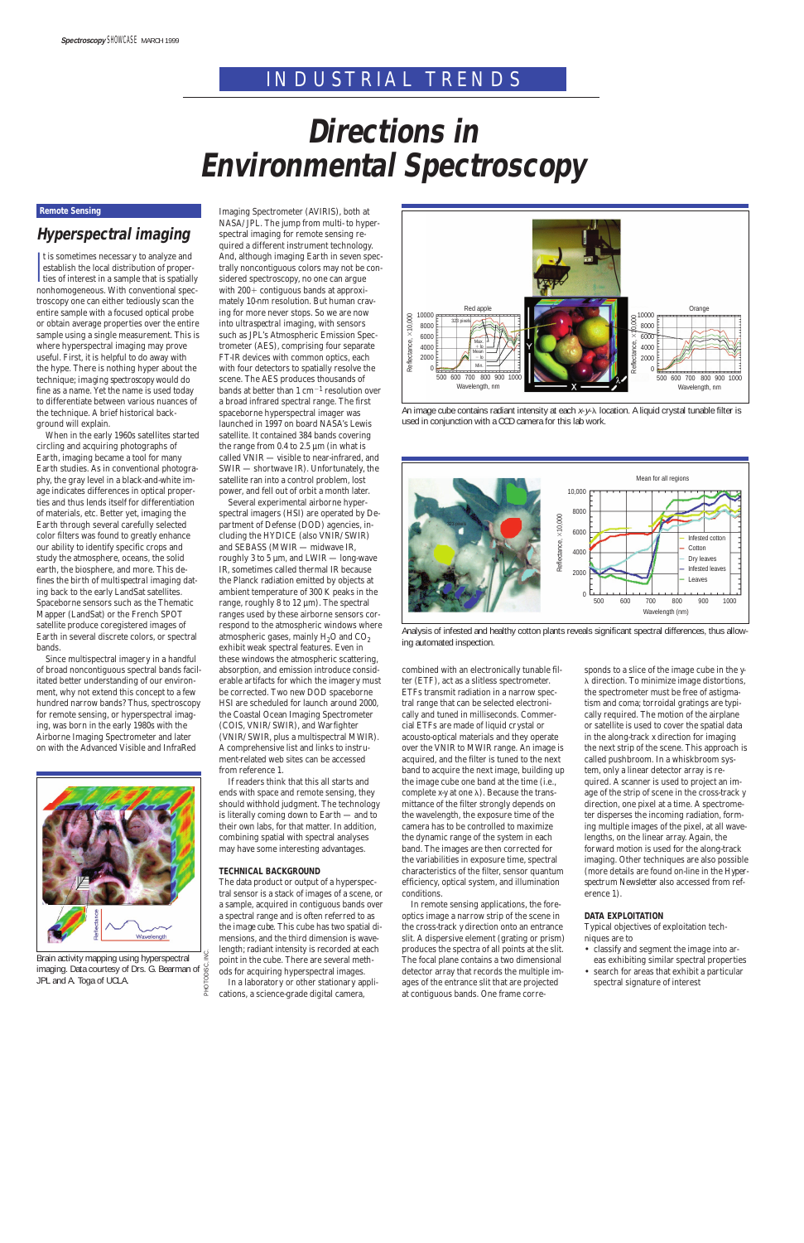## INDUSTRIAL TRENDS

#### **Remote Sensing**

### **Hyperspectral imaging**

I t is sometimes necessary to analyze and establish the local distribution of properties of interest in a sample that is spatially nonhomogeneous. With conventional spectroscopy one can either tediously scan the entire sample with a focused optical probe or obtain average properties over the entire sample using a single measurement. This is where hyperspectral imaging may prove useful. First, it is helpful to do away with the hype. There is nothing hyper about the technique; *imaging spectroscopy* would do fine as a name. Yet the name is used today to differentiate between various nuances of the technique. A brief historical background will explain.

When in the early 1960s satellites started circling and acquiring photographs of Earth, imaging became a tool for many Earth studies. As in conventional photography, the gray level in a black-and-white image indicates differences in optical properties and thus lends itself for differentiation of materials, etc. Better yet, imaging the Earth through several carefully selected color filters was found to greatly enhance our ability to identify specific crops and study the atmosphere, oceans, the solid earth, the biosphere, and more. This defines the birth of *multispectral* imaging dating back to the early LandSat satellites. Spaceborne sensors such as the Thematic Mapper (LandSat) or the French SPOT satellite produce coregistered images of Earth in several discrete colors, or spectral bands.

Since multispectral imagery in a handful of broad noncontiguous spectral bands facilitated better understanding of our environment, why not extend this concept to a few hundred narrow bands? Thus, spectroscopy for remote sensing, or hyperspectral imaging, was born in the early 1980s with the Airborne Imaging Spectrometer and later on with the Advanced Visible and InfraRed

Imaging Spectrometer (AVIRIS), both at NASA/JPL. The jump from multi- to hyperspectral imaging for remote sensing required a different instrument technology. And, although imaging Earth in seven spectrally noncontiguous colors may not be considered spectroscopy, no one can argue with  $200+$  contiguous bands at approximately 10-nm resolution. But human craving for more never stops. So we are now into *ultraspectral* imaging, with sensors such as JPL's Atmospheric Emission Spectrometer (AES), comprising four separate FT-IR devices with common optics, each with four detectors to spatially resolve the scene. The AES produces thousands of bands at better than 1  $cm^{-1}$  resolution over a broad infrared spectral range. The first spaceborne hyperspectral imager was launched in 1997 on board NASA's Lewis satellite. It contained 384 bands covering the range from  $0.4$  to  $2.5 \mu m$  (in what is called VNIR — visible to near-infrared, and SWIR — shortwave IR). Unfortunately, the satellite ran into a control problem, lost power, and fell out of orbit a month later.

Several experimental airborne hyperspectral imagers (HSI) are operated by Department of Defense (DOD) agencies, including the HYDICE (also VNIR/SWIR) and SEBASS (MWIR — midwave IR, roughly 3 to 5 µm, and LWIR — long-wave IR, sometimes called thermal IR because the Planck radiation emitted by objects at ambient temperature of 300 K peaks in the range, roughly 8 to 12 µm). The spectral ranges used by these airborne sensors correspond to the atmospheric windows where atmospheric gases, mainly  $H<sub>2</sub>O$  and  $CO<sub>2</sub>$ exhibit weak spectral features. Even in these windows the atmospheric scattering, absorption, and emission introduce considerable artifacts for which the imagery must be corrected. Two new DOD spaceborne HSI are scheduled for launch around 2000, the Coastal Ocean Imaging Spectrometer (COIS, VNIR/SWIR), and Warfighter (VNIR/SWIR, plus a multispectral MWIR). A comprehensive list and links to instrument-related web sites can be accessed from reference 1.

If readers think that this all starts and ends with space and remote sensing, they should withhold judgment. The technology is literally coming down to Earth — and to their own labs, for that matter. In addition, combining spatial with spectral analyses may have some interesting advantages.

#### **TECHNICAL BACKGROUND**

The data product or output of a hyperspectral sensor is a stack of images of a scene, or a sample, acquired in contiguous bands over a spectral range and is often referred to as the *image cube.* This cube has two spatial dimensions, and the third dimension is wavelength; radiant intensity is recorded at each point in the cube. There are several methods for acquiring hyperspectral images. In a laboratory or other stationary applications, a science-grade digital camera,

combined with an electronically tunable filter (ETF), act as a slitless spectrometer. ETFs transmit radiation in a narrow spectral range that can be selected electronically and tuned in milliseconds. Commercial ETFs are made of liquid crystal or acousto-optical materials and they operate over the VNIR to MWIR range. An image is acquired, and the filter is tuned to the next band to acquire the next image, building up the image cube one band at the time (i.e., complete  $x-y$  at one  $\lambda$ ). Because the transmittance of the filter strongly depends on the wavelength, the exposure time of the camera has to be controlled to maximize the dynamic range of the system in each band. The images are then corrected for the variabilities in exposure time, spectral characteristics of the filter, sensor quantum efficiency, optical system, and illumination conditions.

In remote sensing applications, the foreoptics image a narrow strip of the scene in the cross-track *y* direction onto an entrance slit. A dispersive element (grating or prism) produces the spectra of all points at the slit. The focal plane contains a two dimensional detector array that records the multiple images of the entrance slit that are projected at contiguous bands. One frame corre-



# **Directions in Environmental Spectroscopy**

sponds to a slice of the image cube in the *y*- $\lambda$  direction. To minimize image distortions, the spectrometer must be free of astigmatism and coma; torroidal gratings are typically required. The motion of the airplane or satellite is used to cover the spatial data in the along-track *x* direction for imaging the next strip of the scene. This approach is called pushbroom. In a whiskbroom system, only a linear detector array is required. A scanner is used to project an image of the strip of scene in the cross-track *y* direction, one pixel at a time. A spectrometer disperses the incoming radiation, forming multiple images of the pixel, at all wavelengths, on the linear array. Again, the forward motion is used for the along-track imaging. Other techniques are also possible (more details are found on-line in the *Hyperspectrum Newsletter* also accessed from reference 1).

#### **DATA EXPLOITATION**

Typical objectives of exploitation techniques are to

- classify and segment the image into areas exhibiting similar spectral properties
- search for areas that exhibit a particular spectral signature of interest

Brain activity mapping using hyperspectral imaging. Data courtesy of Drs. G. Bearman of JPL and A. Toga of UCLA.



An image cube contains radiant intensity at each  $x-y$ - $\lambda$  location. A liquid crystal tunable filter is used in conjunction with a CCD camera for this lab work.



Analysis of infested and healthy cotton plants reveals significant spectral differences, thus allowing automated inspection.